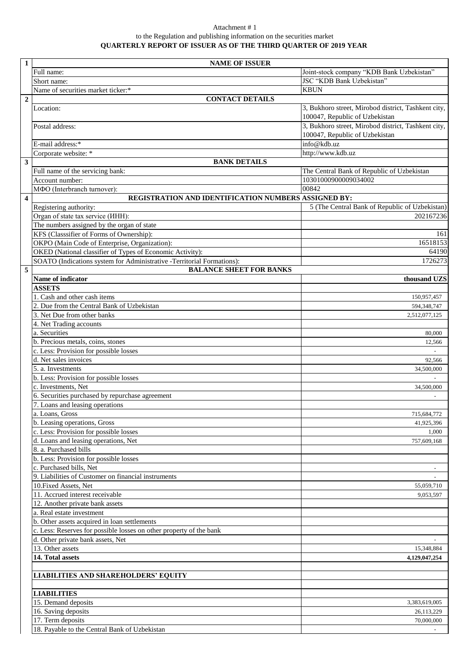## Attachment # 1 to the Regulation and publishing information on the securities market **QUARTERLY REPORT OF ISSUER AS OF THE THIRD QUARTER OF 2019 YEAR**

| $\mathbf{1}$            | <b>NAME OF ISSUER</b>                                                  |                                                                                       |
|-------------------------|------------------------------------------------------------------------|---------------------------------------------------------------------------------------|
|                         | Full name:                                                             | Joint-stock company "KDB Bank Uzbekistan"                                             |
|                         | Short name:                                                            | <b>JSC "KDB Bank Uzbekistan"</b>                                                      |
|                         | Name of securities market ticker:*                                     | <b>KBUN</b>                                                                           |
| $\overline{2}$          | <b>CONTACT DETAILS</b>                                                 |                                                                                       |
|                         | Location:                                                              | 3, Bukhoro street, Mirobod district, Tashkent city,<br>100047, Republic of Uzbekistan |
|                         | Postal address:                                                        | 3, Bukhoro street, Mirobod district, Tashkent city,<br>100047, Republic of Uzbekistan |
|                         | E-mail address:*                                                       | info@kdb.uz                                                                           |
|                         | Corporate website: *                                                   | http://www.kdb.uz                                                                     |
| $\mathbf{3}$            | <b>BANK DETAILS</b>                                                    |                                                                                       |
|                         | Full name of the servicing bank:                                       | The Central Bank of Republic of Uzbekistan                                            |
|                         | Account number:                                                        | 10301000900009034002                                                                  |
|                         | МФО (Interbranch turnover):                                            | 00842                                                                                 |
| $\overline{\mathbf{4}}$ | REGISTRATION AND IDENTIFICATION NUMBERS ASSIGNED BY:                   |                                                                                       |
|                         | Registering authority:                                                 | 5 (The Central Bank of Republic of Uzbekistan)                                        |
|                         | Organ of state tax service ( <i>HHH</i> ):                             | 202167236                                                                             |
|                         | The numbers assigned by the organ of state                             |                                                                                       |
|                         | KFS (Classsifier of Forms of Ownership):                               | 161                                                                                   |
|                         | OKPO (Main Code of Enterprise, Organization):                          | 16518153                                                                              |
|                         | OKED (National classifier of Types of Economic Activity):              | 64190                                                                                 |
|                         | SOATO (Indications system for Administrative -Territorial Formations): | 1726273                                                                               |
| 5                       | <b>BALANCE SHEET FOR BANKS</b>                                         |                                                                                       |
|                         | Name of indicator                                                      | thousand UZS                                                                          |
|                         | <b>ASSETS</b>                                                          |                                                                                       |
|                         | 1. Cash and other cash items                                           | 150,957,457                                                                           |
|                         | 2. Due from the Central Bank of Uzbekistan                             | 594,348,747                                                                           |
|                         | 3. Net Due from other banks                                            | 2,512,077,125                                                                         |
|                         | 4. Net Trading accounts<br>a. Securities                               |                                                                                       |
|                         | b. Precious metals, coins, stones                                      | 80,000<br>12,566                                                                      |
|                         | c. Less: Provision for possible losses                                 |                                                                                       |
|                         | d. Net sales invoices                                                  | 92,566                                                                                |
|                         | 5. a. Investments                                                      | 34,500,000                                                                            |
|                         | b. Less: Provision for possible losses                                 |                                                                                       |
|                         | c. Investments, Net                                                    | 34,500,000                                                                            |
|                         | 6. Securities purchased by repurchase agreement                        |                                                                                       |
|                         | 7. Loans and leasing operations                                        |                                                                                       |
|                         | a. Loans, Gross                                                        | 715,684,772                                                                           |
|                         | b. Leasing operations, Gross                                           | 41,925,396                                                                            |
|                         | c. Less: Provision for possible losses                                 | 1,000                                                                                 |
|                         | d. Loans and leasing operations, Net                                   | 757,609,168                                                                           |
|                         | 8. a. Purchased bills                                                  |                                                                                       |
|                         | b. Less: Provision for possible losses                                 |                                                                                       |
|                         | c. Purchased bills, Net                                                |                                                                                       |
|                         | 9. Liabilities of Customer on financial instruments                    |                                                                                       |
|                         | 10. Fixed Assets, Net                                                  | 55,059,710                                                                            |
|                         | 11. Accrued interest receivable                                        | 9,053,597                                                                             |
|                         | 12. Another private bank assets                                        |                                                                                       |
|                         | a. Real estate investment                                              |                                                                                       |
|                         | b. Other assets acquired in loan settlements                           |                                                                                       |
|                         | c. Less: Reserves for possible losses on other property of the bank    |                                                                                       |
|                         | d. Other private bank assets, Net                                      |                                                                                       |
|                         | 13. Other assets                                                       | 15,348,884                                                                            |
|                         | 14. Total assets                                                       | 4,129,047,254                                                                         |
|                         | <b>LIABILITIES AND SHAREHOLDERS' EQUITY</b>                            |                                                                                       |
|                         |                                                                        |                                                                                       |
|                         | <b>LIABILITIES</b>                                                     |                                                                                       |
|                         | 15. Demand deposits                                                    | 3,383,619,005                                                                         |
|                         | 16. Saving deposits                                                    | 26,113,229                                                                            |
|                         | 17. Term deposits                                                      | 70,000,000                                                                            |
|                         | 18. Payable to the Central Bank of Uzbekistan                          |                                                                                       |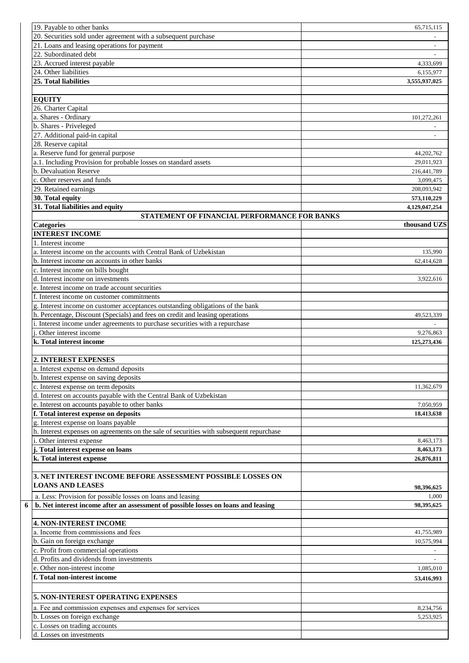| 19. Payable to other banks                                                              | 65,715,115    |
|-----------------------------------------------------------------------------------------|---------------|
| 20. Securities sold under agreement with a subsequent purchase                          |               |
|                                                                                         |               |
| 21. Loans and leasing operations for payment                                            |               |
| 22. Subordinated debt                                                                   |               |
| 23. Accrued interest payable                                                            | 4,333,699     |
| 24. Other liabilities                                                                   | 6,155,977     |
| 25. Total liabilities                                                                   | 3,555,937,025 |
|                                                                                         |               |
| <b>EQUITY</b>                                                                           |               |
| 26. Charter Capital                                                                     |               |
|                                                                                         |               |
| a. Shares - Ordinary                                                                    | 101,272,261   |
| b. Shares - Priveleged                                                                  |               |
| 27. Additional paid-in capital                                                          |               |
| 28. Reserve capital                                                                     |               |
| a. Reserve fund for general purpose                                                     | 44,202,762    |
| a.1. Including Provision for probable losses on standard assets                         | 29,011,923    |
| b. Devaluation Reserve                                                                  | 216,441,789   |
| c. Other reserves and funds                                                             |               |
|                                                                                         | 3,099,475     |
| 29. Retained earnings                                                                   | 208,093.942   |
| 30. Total equity                                                                        | 573,110,229   |
| 31. Total liabilities and equity                                                        | 4,129,047,254 |
| STATEMENT OF FINANCIAL PERFORMANCE FOR BANKS                                            |               |
| <b>Categories</b>                                                                       | thousand UZS  |
| <b>INTEREST INCOME</b>                                                                  |               |
| 1. Interest income                                                                      |               |
|                                                                                         |               |
| a. Interest income on the accounts with Central Bank of Uzbekistan                      | 135,990       |
| b. Interest income on accounts in other banks                                           | 62,414,628    |
| c. Interest income on bills bought                                                      |               |
| d. Interest income on investments                                                       | 3,922,616     |
| e. Interest income on trade account securities                                          |               |
| f. Interest income on customer commitments                                              |               |
|                                                                                         |               |
| g. Interest income on customer acceptances outstanding obligations of the bank          |               |
| h. Percentage, Discount (Specials) and fees on credit and leasing operations            | 49,523,339    |
| i. Interest income under agreements to purchase securities with a repurchase            |               |
| Other interest income                                                                   | 9.276.863     |
| k. Total interest income                                                                | 125,273,436   |
|                                                                                         |               |
| 2. INTEREST EXPENSES                                                                    |               |
| a. Interest expense on demand deposits                                                  |               |
|                                                                                         |               |
| b. Interest expense on saving deposits                                                  |               |
| c. Interest expense on term deposits                                                    | 11,362,679    |
| d. Interest on accounts payable with the Central Bank of Uzbekistan                     |               |
| e. Interest on accounts payable to other banks                                          | 7,050,959     |
| f. Total interest expense on deposits                                                   | 18,413,638    |
| g. Interest expense on loans payable                                                    |               |
| h. Interest expenses on agreements on the sale of securities with subsequent repurchase |               |
|                                                                                         |               |
| i. Other interest expense                                                               | 8,463,173     |
| j. Total interest expense on loans                                                      | 8,463,173     |
| k. Total interest expense                                                               | 26,876,811    |
|                                                                                         |               |
| 3. NET INTEREST INCOME BEFORE ASSESSMENT POSSIBLE LOSSES ON                             |               |
| <b>LOANS AND LEASES</b>                                                                 |               |
|                                                                                         | 98,396,625    |
| a. Less: Provision for possible losses on loans and leasing                             | 1,000         |
| b. Net interest income after an assessment of possible losses on loans and leasing      | 98,395,625    |
|                                                                                         |               |
| <b>4. NON-INTEREST INCOME</b>                                                           |               |
| a. Income from commissions and fees                                                     | 41,755,989    |
|                                                                                         |               |
| b. Gain on foreign exchange                                                             | 10,575,994    |
| c. Profit from commercial operations                                                    |               |
| d. Profits and dividends from investments                                               |               |
| e. Other non-interest income                                                            | 1,085,010     |
| f. Total non-interest income                                                            | 53,416,993    |
|                                                                                         |               |
|                                                                                         |               |
| 5. NON-INTEREST OPERATING EXPENSES                                                      |               |
| a. Fee and commission expenses and expenses for services                                | 8,234,756     |
| b. Losses on foreign exchange                                                           | 5,253,925     |
|                                                                                         |               |
| c. Losses on trading accounts                                                           |               |
| d. Losses on investments                                                                |               |